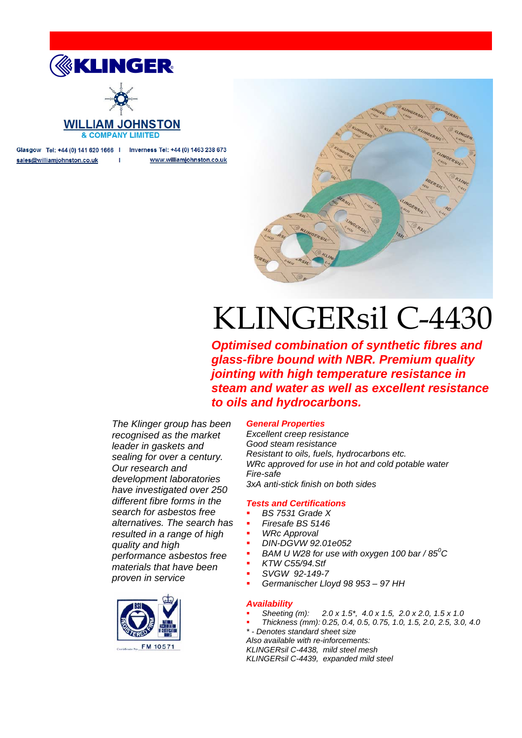

$$
-\bigotimes_{i=1}^{\infty}
$$

### **WILLIAM JOHNSTON & COMPANY LIMITED**

Glasgow Tel: +44 (0) 141 620 1666 | Inverness Tel: +44 (0) 1463 238 673 sales@williamjohnston.co.uk  $\mathbf{I}$ www.williamjohnston.co.uk



# KLINGERsil C-4430

*Optimised combination of synthetic fibres and glass-fibre bound with NBR. Premium quality jointing with high temperature resistance in steam and water as well as excellent resistance to oils and hydrocarbons.*

*The Klinger group has been recognised as the market leader in gaskets and sealing for over a century. Our research and development laboratories have investigated over 250 different fibre forms in the search for asbestos free alternatives. The search has resulted in a range of high quality and high performance asbestos free materials that have been proven in service*



### *General Properties*

*Excellent creep resistance Good steam resistance Resistant to oils, fuels, hydrocarbons etc. WRc approved for use in hot and cold potable water Fire-safe 3xA anti-stick finish on both sides*

### *Tests and Certifications*

- *BS 7531 Grade X*
- *Firesafe BS 5146*
- *WRc Approval*
- *DIN-DGVW 92.01e052*
- *BAM U W28 for use with oxygen 100 bar / 85<sup>0</sup> C*
- *KTW C55/94.Stf*
- *SVGW 92-149-7*
- *Germanischer Lloyd 98 953 – 97 HH*

### *Availability*

- *Sheeting (m): 2.0 x 1.5\*, 4.0 x 1.5, 2.0 x 2.0, 1.5 x 1.0*
- *Thickness (mm): 0.25, 0.4, 0.5, 0.75, 1.0, 1.5, 2.0, 2.5, 3.0, 4.0*

*\* - Denotes standard sheet size*

*Also available with re-inforcements: KLINGERsil C-4438, mild steel mesh*

*KLINGERsil C-4439, expanded mild steel*